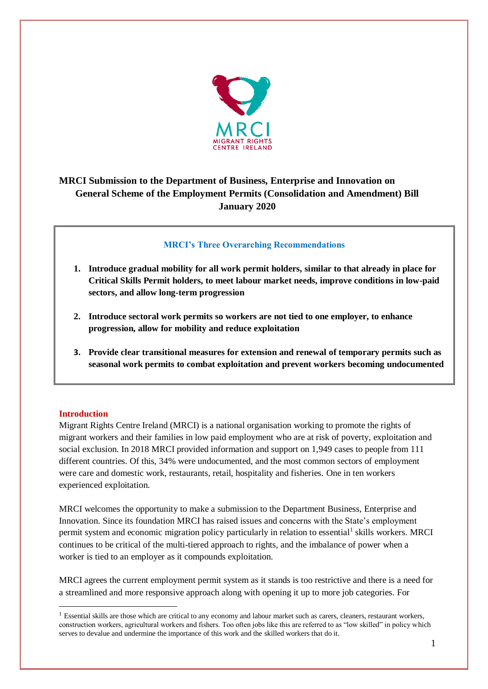

# **MRCI Submission to the Department of Business, Enterprise and Innovation on General Scheme of the Employment Permits (Consolidation and Amendment) Bill January 2020**

## **MRCI's Three Overarching Recommendations**

- **1. Introduce gradual mobility for all work permit holders, similar to that already in place for Critical Skills Permit holders, to meet labour market needs, improve conditions in low-paid sectors, and allow long-term progression**
- **2. Introduce sectoral work permits so workers are not tied to one employer, to enhance progression, allow for mobility and reduce exploitation**
- **3. Provide clear transitional measures for extension and renewal of temporary permits such as seasonal work permits to combat exploitation and prevent workers becoming undocumented**

### **Introduction**

1

Migrant Rights Centre Ireland (MRCI) is a national organisation working to promote the rights of migrant workers and their families in low paid employment who are at risk of poverty, exploitation and social exclusion. In 2018 MRCI provided information and support on 1,949 cases to people from 111 different countries. Of this, 34% were undocumented, and the most common sectors of employment were care and domestic work, restaurants, retail, hospitality and fisheries. One in ten workers experienced exploitation.

MRCI welcomes the opportunity to make a submission to the Department Business, Enterprise and Innovation. Since its foundation MRCI has raised issues and concerns with the State's employment permit system and economic migration policy particularly in relation to essential<sup>1</sup> skills workers. MRCI continues to be critical of the multi-tiered approach to rights, and the imbalance of power when a worker is tied to an employer as it compounds exploitation.

MRCI agrees the current employment permit system as it stands is too restrictive and there is a need for a streamlined and more responsive approach along with opening it up to more job categories. For

 $<sup>1</sup>$  Essential skills are those which are critical to any economy and labour market such as carers, cleaners, restaurant workers,</sup> construction workers, agricultural workers and fishers. Too often jobs like this are referred to as "low skilled" in policy which serves to devalue and undermine the importance of this work and the skilled workers that do it.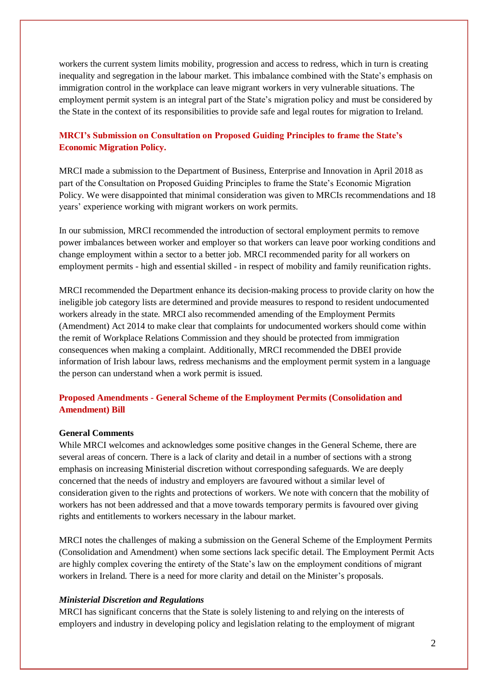workers the current system limits mobility, progression and access to redress, which in turn is creating inequality and segregation in the labour market. This imbalance combined with the State's emphasis on immigration control in the workplace can leave migrant workers in very vulnerable situations. The employment permit system is an integral part of the State's migration policy and must be considered by the State in the context of its responsibilities to provide safe and legal routes for migration to Ireland.

## **MRCI's Submission on Consultation on Proposed Guiding Principles to frame the State's Economic Migration Policy.**

MRCI made a submission to the Department of Business, Enterprise and Innovation in April 2018 as part of the Consultation on Proposed Guiding Principles to frame the State's Economic Migration Policy. We were disappointed that minimal consideration was given to MRCIs recommendations and 18 years' experience working with migrant workers on work permits.

In our submission, MRCI recommended the introduction of sectoral employment permits to remove power imbalances between worker and employer so that workers can leave poor working conditions and change employment within a sector to a better job. MRCI recommended parity for all workers on employment permits - high and essential skilled - in respect of mobility and family reunification rights.

MRCI recommended the Department enhance its decision-making process to provide clarity on how the ineligible job category lists are determined and provide measures to respond to resident undocumented workers already in the state. MRCI also recommended amending of the Employment Permits (Amendment) Act 2014 to make clear that complaints for undocumented workers should come within the remit of Workplace Relations Commission and they should be protected from immigration consequences when making a complaint. Additionally, MRCI recommended the DBEI provide information of Irish labour laws, redress mechanisms and the employment permit system in a language the person can understand when a work permit is issued.

## **Proposed Amendments - General Scheme of the Employment Permits (Consolidation and Amendment) Bill**

### **General Comments**

While MRCI welcomes and acknowledges some positive changes in the General Scheme, there are several areas of concern. There is a lack of clarity and detail in a number of sections with a strong emphasis on increasing Ministerial discretion without corresponding safeguards. We are deeply concerned that the needs of industry and employers are favoured without a similar level of consideration given to the rights and protections of workers. We note with concern that the mobility of workers has not been addressed and that a move towards temporary permits is favoured over giving rights and entitlements to workers necessary in the labour market.

MRCI notes the challenges of making a submission on the General Scheme of the Employment Permits (Consolidation and Amendment) when some sections lack specific detail. The Employment Permit Acts are highly complex covering the entirety of the State's law on the employment conditions of migrant workers in Ireland. There is a need for more clarity and detail on the Minister's proposals.

#### *Ministerial Discretion and Regulations*

MRCI has significant concerns that the State is solely listening to and relying on the interests of employers and industry in developing policy and legislation relating to the employment of migrant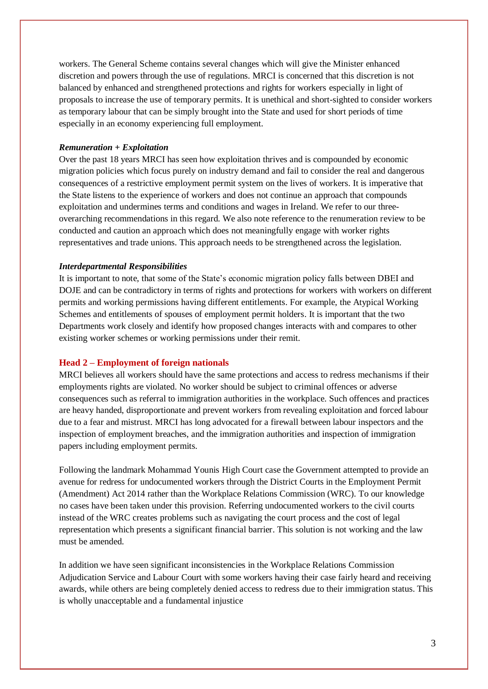workers. The General Scheme contains several changes which will give the Minister enhanced discretion and powers through the use of regulations. MRCI is concerned that this discretion is not balanced by enhanced and strengthened protections and rights for workers especially in light of proposals to increase the use of temporary permits. It is unethical and short-sighted to consider workers as temporary labour that can be simply brought into the State and used for short periods of time especially in an economy experiencing full employment.

### *Remuneration + Exploitation*

Over the past 18 years MRCI has seen how exploitation thrives and is compounded by economic migration policies which focus purely on industry demand and fail to consider the real and dangerous consequences of a restrictive employment permit system on the lives of workers. It is imperative that the State listens to the experience of workers and does not continue an approach that compounds exploitation and undermines terms and conditions and wages in Ireland. We refer to our threeoverarching recommendations in this regard. We also note reference to the renumeration review to be conducted and caution an approach which does not meaningfully engage with worker rights representatives and trade unions. This approach needs to be strengthened across the legislation.

#### *Interdepartmental Responsibilities*

It is important to note, that some of the State's economic migration policy falls between DBEI and DOJE and can be contradictory in terms of rights and protections for workers with workers on different permits and working permissions having different entitlements. For example, the Atypical Working Schemes and entitlements of spouses of employment permit holders. It is important that the two Departments work closely and identify how proposed changes interacts with and compares to other existing worker schemes or working permissions under their remit.

### **Head 2 – Employment of foreign nationals**

MRCI believes all workers should have the same protections and access to redress mechanisms if their employments rights are violated. No worker should be subject to criminal offences or adverse consequences such as referral to immigration authorities in the workplace. Such offences and practices are heavy handed, disproportionate and prevent workers from revealing exploitation and forced labour due to a fear and mistrust. MRCI has long advocated for a firewall between labour inspectors and the inspection of employment breaches, and the immigration authorities and inspection of immigration papers including employment permits.

Following the landmark Mohammad Younis High Court case the Government attempted to provide an avenue for redress for undocumented workers through the District Courts in the Employment Permit (Amendment) Act 2014 rather than the Workplace Relations Commission (WRC). To our knowledge no cases have been taken under this provision. Referring undocumented workers to the civil courts instead of the WRC creates problems such as navigating the court process and the cost of legal representation which presents a significant financial barrier. This solution is not working and the law must be amended.

In addition we have seen significant inconsistencies in the Workplace Relations Commission Adjudication Service and Labour Court with some workers having their case fairly heard and receiving awards, while others are being completely denied access to redress due to their immigration status. This is wholly unacceptable and a fundamental injustice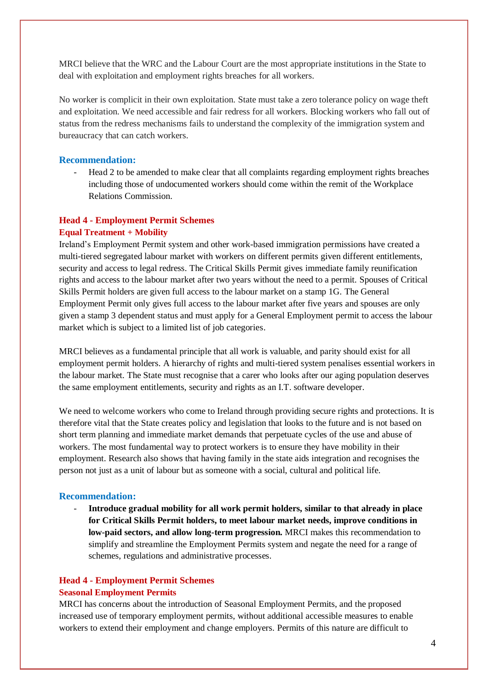MRCI believe that the WRC and the Labour Court are the most appropriate institutions in the State to deal with exploitation and employment rights breaches for all workers.

No worker is complicit in their own exploitation. State must take a zero tolerance policy on wage theft and exploitation. We need accessible and fair redress for all workers. Blocking workers who fall out of status from the redress mechanisms fails to understand the complexity of the immigration system and bureaucracy that can catch workers.

#### **Recommendation:**

- Head 2 to be amended to make clear that all complaints regarding employment rights breaches including those of undocumented workers should come within the remit of the Workplace Relations Commission.

### **Head 4 - Employment Permit Schemes**

#### **Equal Treatment + Mobility**

Ireland's Employment Permit system and other work-based immigration permissions have created a multi-tiered segregated labour market with workers on different permits given different entitlements, security and access to legal redress. The Critical Skills Permit gives immediate family reunification rights and access to the labour market after two years without the need to a permit. Spouses of Critical Skills Permit holders are given full access to the labour market on a stamp 1G. The General Employment Permit only gives full access to the labour market after five years and spouses are only given a stamp 3 dependent status and must apply for a General Employment permit to access the labour market which is subject to a limited list of job categories.

MRCI believes as a fundamental principle that all work is valuable, and parity should exist for all employment permit holders. A hierarchy of rights and multi-tiered system penalises essential workers in the labour market. The State must recognise that a carer who looks after our aging population deserves the same employment entitlements, security and rights as an I.T. software developer.

We need to welcome workers who come to Ireland through providing secure rights and protections. It is therefore vital that the State creates policy and legislation that looks to the future and is not based on short term planning and immediate market demands that perpetuate cycles of the use and abuse of workers. The most fundamental way to protect workers is to ensure they have mobility in their employment. Research also shows that having family in the state aids integration and recognises the person not just as a unit of labour but as someone with a social, cultural and political life.

#### **Recommendation:**

- **Introduce gradual mobility for all work permit holders, similar to that already in place for Critical Skills Permit holders, to meet labour market needs, improve conditions in low-paid sectors, and allow long-term progression.** MRCI makes this recommendation to simplify and streamline the Employment Permits system and negate the need for a range of schemes, regulations and administrative processes.

## **Head 4 - Employment Permit Schemes Seasonal Employment Permits**

MRCI has concerns about the introduction of Seasonal Employment Permits, and the proposed increased use of temporary employment permits, without additional accessible measures to enable workers to extend their employment and change employers. Permits of this nature are difficult to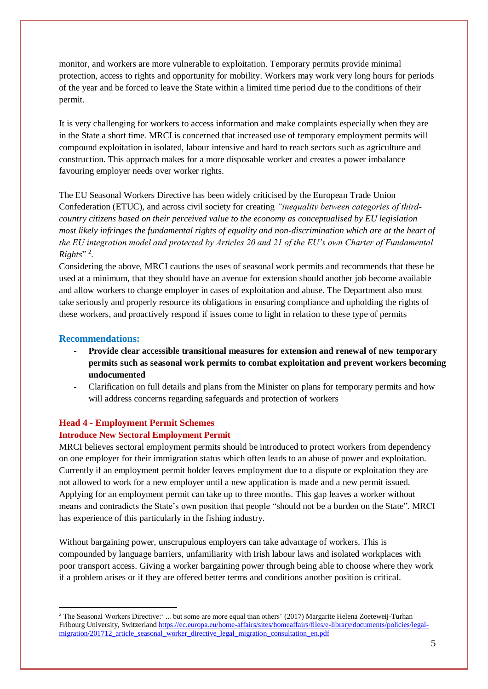monitor, and workers are more vulnerable to exploitation. Temporary permits provide minimal protection, access to rights and opportunity for mobility. Workers may work very long hours for periods of the year and be forced to leave the State within a limited time period due to the conditions of their permit.

It is very challenging for workers to access information and make complaints especially when they are in the State a short time. MRCI is concerned that increased use of temporary employment permits will compound exploitation in isolated, labour intensive and hard to reach sectors such as agriculture and construction. This approach makes for a more disposable worker and creates a power imbalance favouring employer needs over worker rights.

The EU Seasonal Workers Directive has been widely criticised by the European Trade Union Confederation (ETUC), and across civil society for creating *"inequality between categories of thirdcountry citizens based on their perceived value to the economy as conceptualised by EU legislation most likely infringes the fundamental rights of equality and non-discrimination which are at the heart of the EU integration model and protected by Articles 20 and 21 of the EU's own Charter of Fundamental*   $Right's$ <sup>"2</sup>.

Considering the above, MRCI cautions the uses of seasonal work permits and recommends that these be used at a minimum, that they should have an avenue for extension should another job become available and allow workers to change employer in cases of exploitation and abuse. The Department also must take seriously and properly resource its obligations in ensuring compliance and upholding the rights of these workers, and proactively respond if issues come to light in relation to these type of permits

### **Recommendations:**

<u>.</u>

- **Provide clear accessible transitional measures for extension and renewal of new temporary permits such as seasonal work permits to combat exploitation and prevent workers becoming undocumented**
- Clarification on full details and plans from the Minister on plans for temporary permits and how will address concerns regarding safeguards and protection of workers

### **Head 4 - Employment Permit Schemes**

### **Introduce New Sectoral Employment Permit**

MRCI believes sectoral employment permits should be introduced to protect workers from dependency on one employer for their immigration status which often leads to an abuse of power and exploitation. Currently if an employment permit holder leaves employment due to a dispute or exploitation they are not allowed to work for a new employer until a new application is made and a new permit issued. Applying for an employment permit can take up to three months. This gap leaves a worker without means and contradicts the State's own position that people "should not be a burden on the State". MRCI has experience of this particularly in the fishing industry.

Without bargaining power, unscrupulous employers can take advantage of workers. This is compounded by language barriers, unfamiliarity with Irish labour laws and isolated workplaces with poor transport access. Giving a worker bargaining power through being able to choose where they work if a problem arises or if they are offered better terms and conditions another position is critical.

<sup>&</sup>lt;sup>2</sup> The Seasonal Workers Directive:' ... but some are more equal than others' (2017) Margarite Helena Zoeteweij-Turhan Fribourg University, Switzerlan[d https://ec.europa.eu/home-affairs/sites/homeaffairs/files/e-library/documents/policies/legal](https://ec.europa.eu/home-affairs/sites/homeaffairs/files/e-library/documents/policies/legal-migration/201712_article_seasonal_worker_directive_legal_migration_consultation_en.pdf)[migration/201712\\_article\\_seasonal\\_worker\\_directive\\_legal\\_migration\\_consultation\\_en.pdf](https://ec.europa.eu/home-affairs/sites/homeaffairs/files/e-library/documents/policies/legal-migration/201712_article_seasonal_worker_directive_legal_migration_consultation_en.pdf)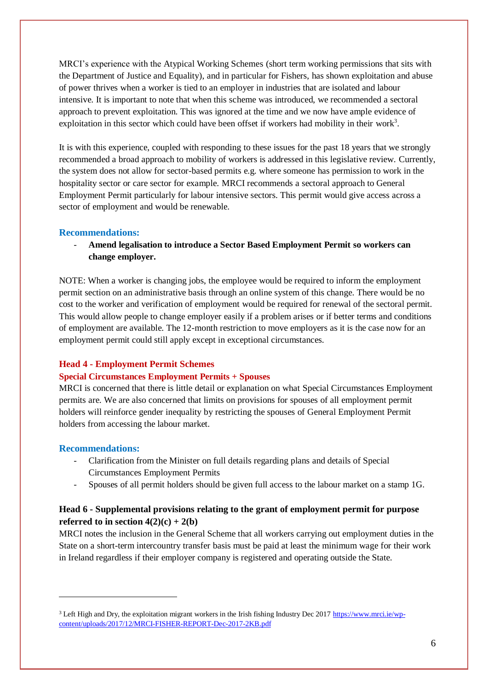MRCI's experience with the Atypical Working Schemes (short term working permissions that sits with the Department of Justice and Equality), and in particular for Fishers, has shown exploitation and abuse of power thrives when a worker is tied to an employer in industries that are isolated and labour intensive. It is important to note that when this scheme was introduced, we recommended a sectoral approach to prevent exploitation. This was ignored at the time and we now have ample evidence of exploitation in this sector which could have been offset if workers had mobility in their work<sup>3</sup>.

It is with this experience, coupled with responding to these issues for the past 18 years that we strongly recommended a broad approach to mobility of workers is addressed in this legislative review. Currently, the system does not allow for sector-based permits e.g. where someone has permission to work in the hospitality sector or care sector for example. MRCI recommends a sectoral approach to General Employment Permit particularly for labour intensive sectors. This permit would give access across a sector of employment and would be renewable.

## **Recommendations:**

- **Amend legalisation to introduce a Sector Based Employment Permit so workers can change employer.**

NOTE: When a worker is changing jobs, the employee would be required to inform the employment permit section on an administrative basis through an online system of this change. There would be no cost to the worker and verification of employment would be required for renewal of the sectoral permit. This would allow people to change employer easily if a problem arises or if better terms and conditions of employment are available. The 12-month restriction to move employers as it is the case now for an employment permit could still apply except in exceptional circumstances.

## **Head 4 - Employment Permit Schemes**

## **Special Circumstances Employment Permits + Spouses**

MRCI is concerned that there is little detail or explanation on what Special Circumstances Employment permits are. We are also concerned that limits on provisions for spouses of all employment permit holders will reinforce gender inequality by restricting the spouses of General Employment Permit holders from accessing the labour market.

## **Recommendations:**

1

- Clarification from the Minister on full details regarding plans and details of Special Circumstances Employment Permits
- Spouses of all permit holders should be given full access to the labour market on a stamp 1G.

## **Head 6 - Supplemental provisions relating to the grant of employment permit for purpose referred to in section**  $4(2)(c) + 2(b)$

MRCI notes the inclusion in the General Scheme that all workers carrying out employment duties in the State on a short-term intercountry transfer basis must be paid at least the minimum wage for their work in Ireland regardless if their employer company is registered and operating outside the State.

<sup>&</sup>lt;sup>3</sup> Left High and Dry, the exploitation migrant workers in the Irish fishing Industry Dec 2017 [https://www.mrci.ie/wp](https://www.mrci.ie/wp-content/uploads/2017/12/MRCI-FISHER-REPORT-Dec-2017-2KB.pdf)[content/uploads/2017/12/MRCI-FISHER-REPORT-Dec-2017-2KB.pdf](https://www.mrci.ie/wp-content/uploads/2017/12/MRCI-FISHER-REPORT-Dec-2017-2KB.pdf)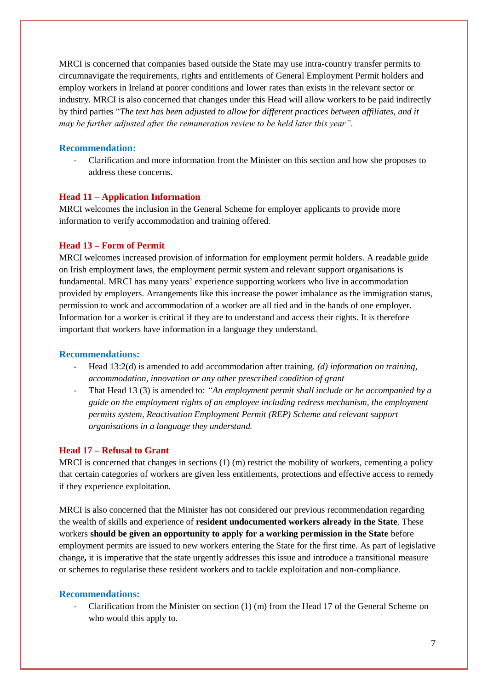MRCI is concerned that companies based outside the State may use intra-country transfer permits to circumnavigate the requirements, rights and entitlements of General Employment Permit holders and employ workers in Ireland at poorer conditions and lower rates than exists in the relevant sector or industry. MRCI is also concerned that changes under this Head will allow workers to be paid indirectly by third parties "*The text has been adjusted to allow for different practices between affiliates, and it may be further adjusted after the remuneration review to be held later this year"*.

## **Recommendation:**

- Clarification and more information from the Minister on this section and how she proposes to address these concerns.

### **Head 11 – Application Information**

MRCI welcomes the inclusion in the General Scheme for employer applicants to provide more information to verify accommodation and training offered.

### **Head 13 – Form of Permit**

MRCI welcomes increased provision of information for employment permit holders. A readable guide on Irish employment laws, the employment permit system and relevant support organisations is fundamental. MRCI has many years' experience supporting workers who live in accommodation provided by employers. Arrangements like this increase the power imbalance as the immigration status, permission to work and accommodation of a worker are all tied and in the hands of one employer. Information for a worker is critical if they are to understand and access their rights. It is therefore important that workers have information in a language they understand.

## **Recommendations:**

- Head 13:2(d) is amended to add accommodation after training. *(d) information on training, accommodation, innovation or any other prescribed condition of grant*
- That Head 13 (3) is amended to: *"An employment permit shall include or be accompanied by a guide on the employment rights of an employee including redress mechanism, the employment permits system, Reactivation Employment Permit (REP) Scheme and relevant support organisations in a language they understand.*

## **Head 17 – Refusal to Grant**

MRCI is concerned that changes in sections (1) (m) restrict the mobility of workers, cementing a policy that certain categories of workers are given less entitlements, protections and effective access to remedy if they experience exploitation.

MRCI is also concerned that the Minister has not considered our previous recommendation regarding the wealth of skills and experience of **resident undocumented workers already in the State**. These workers **should be given an opportunity to apply for a working permission in the State** before employment permits are issued to new workers entering the State for the first time. As part of legislative change**,** it is imperative that the state urgently addresses this issue and introduce a transitional measure or schemes to regularise these resident workers and to tackle exploitation and non-compliance.

### **Recommendations:**

Clarification from the Minister on section  $(1)$  (m) from the Head 17 of the General Scheme on who would this apply to.